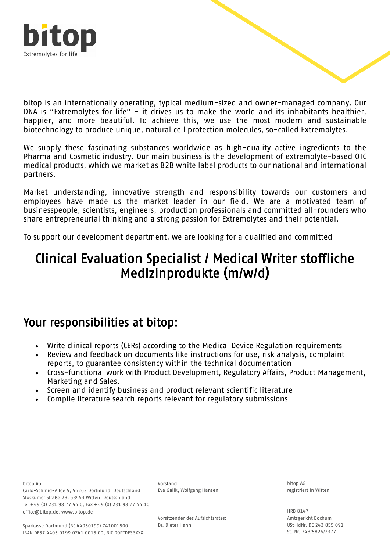

bitop is an internationally operating, typical medium-sized and owner-managed company. Our DNA is "Extremolytes for life" - it drives us to make the world and its inhabitants healthier, happier, and more beautiful. To achieve this, we use the most modern and sustainable biotechnology to produce unique, natural cell protection molecules, so-called Extremolytes.

We supply these fascinating substances worldwide as high-quality active ingredients to the Pharma and Cosmetic industry. Our main business is the development of extremolyte-based OTC medical products, which we market as B2B white label products to our national and international partners.

Market understanding, innovative strength and responsibility towards our customers and employees have made us the market leader in our field. We are a motivated team of businesspeople, scientists, engineers, production professionals and committed all-rounders who share entrepreneurial thinking and a strong passion for Extremolytes and their potential.

To support our development department, we are looking for a qualified and committed

## Clinical Evaluation Specialist / Medical Writer stoffliche Medizinprodukte (m/w/d)

#### Your responsibilities at bitop:

- Write clinical reports (CERs) according to the Medical Device Regulation requirements
- Review and feedback on documents like instructions for use, risk analysis, complaint reports, to guarantee consistency within the technical documentation
- Cross-functional work with Product Development, Regulatory Affairs, Product Management, Marketing and Sales.
- Screen and identify business and product relevant scientific literature
- Compile literature search reports relevant for regulatory submissions

bitop AG

Carlo-Schmid-Allee 5, 44263 Dortmund, Deutschland Stockumer Straße 28, 58453 Witten, Deutschland Tel + 49 (0) 231 98 77 44 0, Fax + 49 (0) 231 98 77 44 10 office@bitop.de, www.bitop.de

Vorstand: Eva Galik, Wolfgang Hansen

bitop AG registriert in Witten

Vorsitzender des Aufsichtsrates: Dr. Dieter Hahn

HRB 8147 Amtsgericht Bochum USt-IdNr. DE 243 855 091 St. Nr. 348/5826/2377

Sparkasse Dortmund (BC 44050199) 741001500 IBAN DE57 4405 0199 0741 0015 00, BIC DORTDE33XXX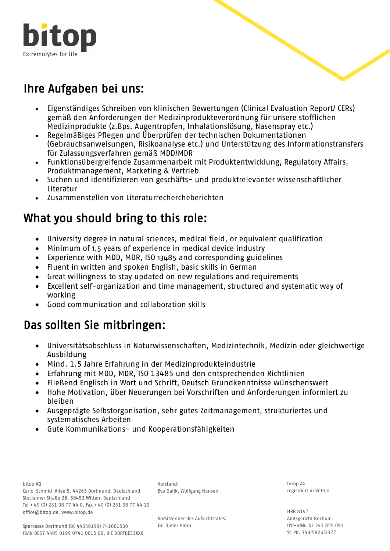

# Ihre Aufgaben bei uns:

- Eigenständiges Schreiben von klinischen Bewertungen (Clinical Evaluation Report/ CERs) gemäß den Anforderungen der Medizinprodukteverordnung für unsere stofflichen Medizinprodukte (z.Bps. Augentropfen, Inhalationslösung, Nasenspray etc.)
- Regelmäßiges Pflegen und Überprüfen der technischen Dokumentationen (Gebrauchsanweisungen, Risikoanalyse etc.) und Unterstützung des Informationstransfers für Zulassungsverfahren gemäß MDD/MDR
- Funktionsübergreifende Zusammenarbeit mit Produktentwicklung, Regulatory Affairs, Produktmanagement, Marketing & Vertrieb
- Suchen und identifizieren von geschäfts- und produktrelevanter wissenschaftlicher Literatur
- Zusammenstellen von Literaturrechercheberichten

## What you should bring to this role:

- University degree in natural sciences, medical field, or equivalent qualification
- Minimum of 1.5 years of experience in medical device industry
- Experience with MDD, MDR, ISO 13485 and corresponding guidelines
- Fluent in written and spoken English, basic skills in German
- Great willingness to stay updated on new regulations and requirements
- Excellent self-organization and time management, structured and systematic way of working
- Good communication and collaboration skills

## Das sollten Sie mitbringen:

- Universitätsabschluss in Naturwissenschaften, Medizintechnik, Medizin oder gleichwertige Ausbildung
- Mind. 1.5 Jahre Erfahrung in der Medizinprodukteindustrie
- Erfahrung mit MDD, MDR, ISO 13485 und den entsprechenden Richtlinien
- Fließend Englisch in Wort und Schrift, Deutsch Grundkenntnisse wünschenswert
- Hohe Motivation, über Neuerungen bei Vorschriften und Anforderungen informiert zu bleiben
- Ausgeprägte Selbstorganisation, sehr gutes Zeitmanagement, strukturiertes und systematisches Arbeiten
- Gute Kommunikations- und Kooperationsfähigkeiten

bitop AG

Carlo-Schmid-Allee 5, 44263 Dortmund, Deutschland Carlo-Schmid-Allee 5, 44263 Dortmund, Deutsch<br>Stockumer Straße 28, 58453 Witten, Deutschland Tel + 49 (0) 231 98 77 44 0, Fax + 49 (0) 231 98 77 44 10 office@bitop.de, www.bitop.de

Vorstand: Eva Galik, Wolfgang Hansen

bitop AG registriert in Witten

Vorsitzender des Aufsichtsrates: Dr. Dieter Hahn

HRB 8147 Amtsgericht Bochum USt-IdNr. DE 243 855 091 St. Nr. 348/5826/2377

Sparkasse Dortmund (BC 44050199) 741001500 IBAN DE57 4405 0199 0741 0015 00, BIC DORTDE33XXX